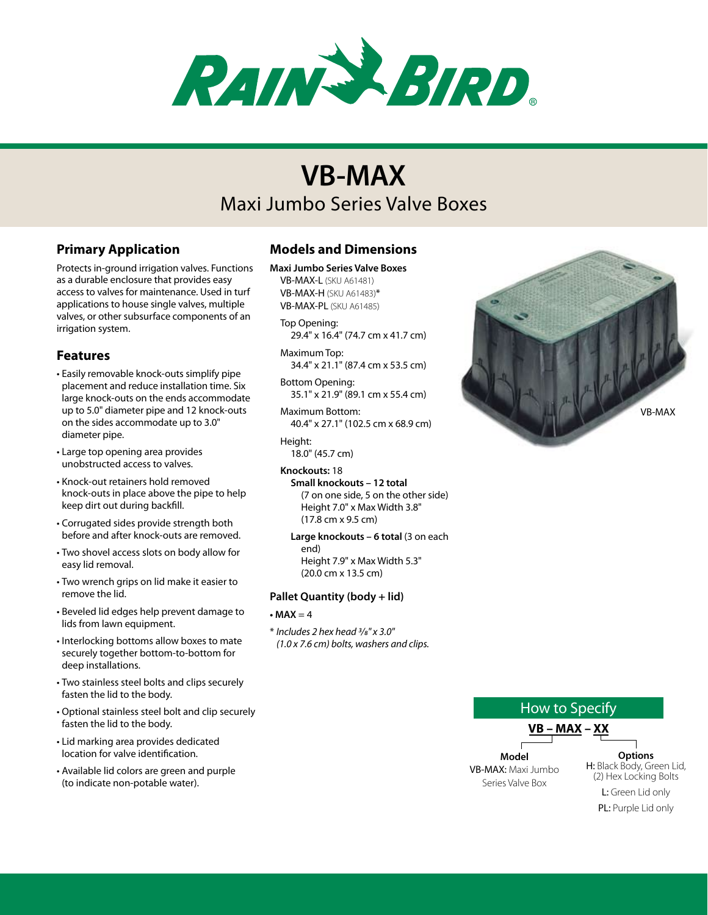

# Maxi Jumbo Series Valve Boxes **VB-MAX**

# **Primary Application**

Protects in-ground irrigation valves. Functions as a durable enclosure that provides easy access to valves for maintenance. Used in turf applications to house single valves, multiple valves, or other subsurface components of an irrigation system.

# **Features**

- • Easily removable knock-outs simplify pipe placement and reduce installation time. Six large knock-outs on the ends accommodate up to 5.0" diameter pipe and 12 knock-outs on the sides accommodate up to 3.0" diameter pipe.
- • Large top opening area provides unobstructed access to valves.
- • Knock-out retainers hold removed knock-outs in place above the pipe to help keep dirt out during backfill.
- • Corrugated sides provide strength both before and after knock-outs are removed.
- Two shovel access slots on body allow for easy lid removal.
- Two wrench grips on lid make it easier to remove the lid.
- • Beveled lid edges help prevent damage to lids from lawn equipment.
- • Interlocking bottoms allow boxes to mate securely together bottom-to-bottom for deep installations.
- • Two stainless steel bolts and clips securely fasten the lid to the body.
- • Optional stainless steel bolt and clip securely fasten the lid to the body.
- • Lid marking area provides dedicated location for valve identification.
- • Available lid colors are green and purple (to indicate non-potable water).

# **Models and Dimensions**

**Maxi Jumbo Series Valve Boxes**

VB-MAX-L (SKU A61481) VB-MAX-H (SKU A61483)\* VB-MAX-PL (SKU A61485)

- Top Opening: 29.4" x 16.4" (74.7 cm x 41.7 cm)
- Maximum Top: 34.4" x 21.1" (87.4 cm x 53.5 cm)
- Bottom Opening: 35.1" x 21.9" (89.1 cm x 55.4 cm)

Maximum Bottom: 40.4" x 27.1" (102.5 cm x 68.9 cm)

Height: 18.0" (45.7 cm)

**Knockouts:** 18 **Small knockouts – 12 total** (7 on one side, 5 on the other side) Height 7.0" x Max Width 3.8" (17.8 cm x 9.5 cm)

#### Large knockouts - 6 total (3 on each end) Height 7.9" x Max Width 5.3"

(20.0 cm x 13.5 cm)

## **Pallet Quantity (body + lid)**

## $\bullet$  **MAX**  $=$  4

\* *Includes 2 hex head 3/8" x 3.0" (1.0 x 7.6 cm) bolts, washers and clips.*



How to Specify **VB – MAX – XX Model** VB-MAX: Maxi Jumbo Series Valve Box **Options** H: Black Body, Green Lid, (2) Hex Locking Bolts L: Green Lid only PL: Purple Lid only